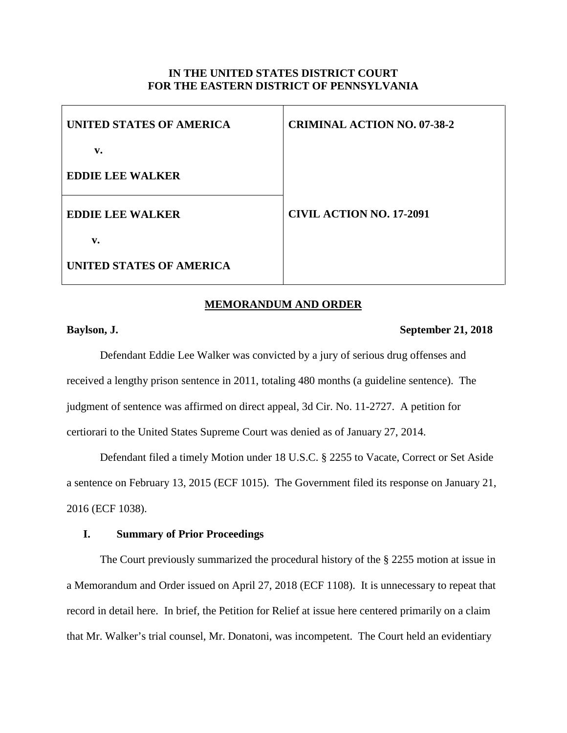## **IN THE UNITED STATES DISTRICT COURT FOR THE EASTERN DISTRICT OF PENNSYLVANIA**

| UNITED STATES OF AMERICA | <b>CRIMINAL ACTION NO. 07-38-2</b> |
|--------------------------|------------------------------------|
| v.                       |                                    |
| <b>EDDIE LEE WALKER</b>  |                                    |
| <b>EDDIE LEE WALKER</b>  | <b>CIVIL ACTION NO. 17-2091</b>    |
| v.                       |                                    |
| UNITED STATES OF AMERICA |                                    |

#### **MEMORANDUM AND ORDER**

# **Baylson, J. September 21, 2018**

Defendant Eddie Lee Walker was convicted by a jury of serious drug offenses and received a lengthy prison sentence in 2011, totaling 480 months (a guideline sentence). The judgment of sentence was affirmed on direct appeal, 3d Cir. No. 11-2727. A petition for certiorari to the United States Supreme Court was denied as of January 27, 2014.

Defendant filed a timely Motion under 18 U.S.C. § 2255 to Vacate, Correct or Set Aside a sentence on February 13, 2015 (ECF 1015). The Government filed its response on January 21, 2016 (ECF 1038).

# **I. Summary of Prior Proceedings**

The Court previously summarized the procedural history of the § 2255 motion at issue in a Memorandum and Order issued on April 27, 2018 (ECF 1108). It is unnecessary to repeat that record in detail here. In brief, the Petition for Relief at issue here centered primarily on a claim that Mr. Walker's trial counsel, Mr. Donatoni, was incompetent. The Court held an evidentiary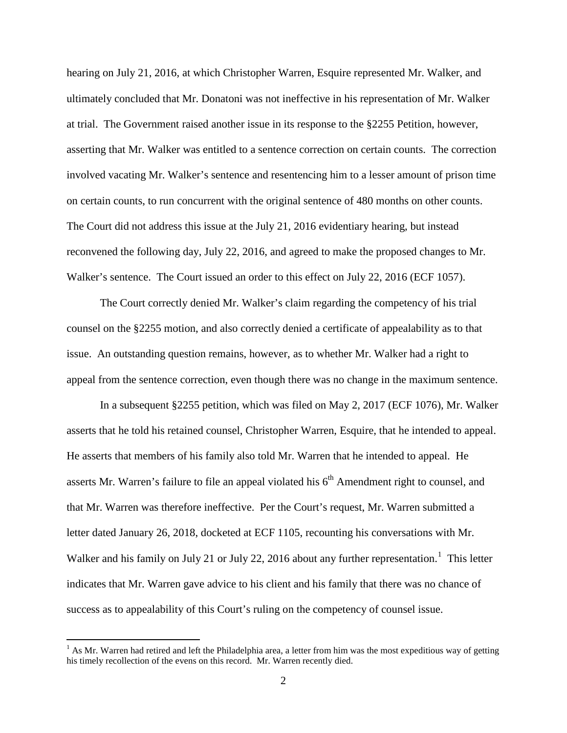hearing on July 21, 2016, at which Christopher Warren, Esquire represented Mr. Walker, and ultimately concluded that Mr. Donatoni was not ineffective in his representation of Mr. Walker at trial. The Government raised another issue in its response to the §2255 Petition, however, asserting that Mr. Walker was entitled to a sentence correction on certain counts. The correction involved vacating Mr. Walker's sentence and resentencing him to a lesser amount of prison time on certain counts, to run concurrent with the original sentence of 480 months on other counts. The Court did not address this issue at the July 21, 2016 evidentiary hearing, but instead reconvened the following day, July 22, 2016, and agreed to make the proposed changes to Mr. Walker's sentence. The Court issued an order to this effect on July 22, 2016 (ECF 1057).

The Court correctly denied Mr. Walker's claim regarding the competency of his trial counsel on the §2255 motion, and also correctly denied a certificate of appealability as to that issue. An outstanding question remains, however, as to whether Mr. Walker had a right to appeal from the sentence correction, even though there was no change in the maximum sentence.

In a subsequent §2255 petition, which was filed on May 2, 2017 (ECF 1076), Mr. Walker asserts that he told his retained counsel, Christopher Warren, Esquire, that he intended to appeal. He asserts that members of his family also told Mr. Warren that he intended to appeal. He asserts Mr. Warren's failure to file an appeal violated his 6<sup>th</sup> Amendment right to counsel, and that Mr. Warren was therefore ineffective. Per the Court's request, Mr. Warren submitted a letter dated January 26, 2018, docketed at ECF 1105, recounting his conversations with Mr. Walker and his family on July 2[1](#page-1-0) or July 22, 2016 about any further representation.<sup>1</sup> This letter indicates that Mr. Warren gave advice to his client and his family that there was no chance of success as to appealability of this Court's ruling on the competency of counsel issue.

<span id="page-1-0"></span> $<sup>1</sup>$  As Mr. Warren had retired and left the Philadelphia area, a letter from him was the most expeditious way of getting</sup> his timely recollection of the evens on this record. Mr. Warren recently died.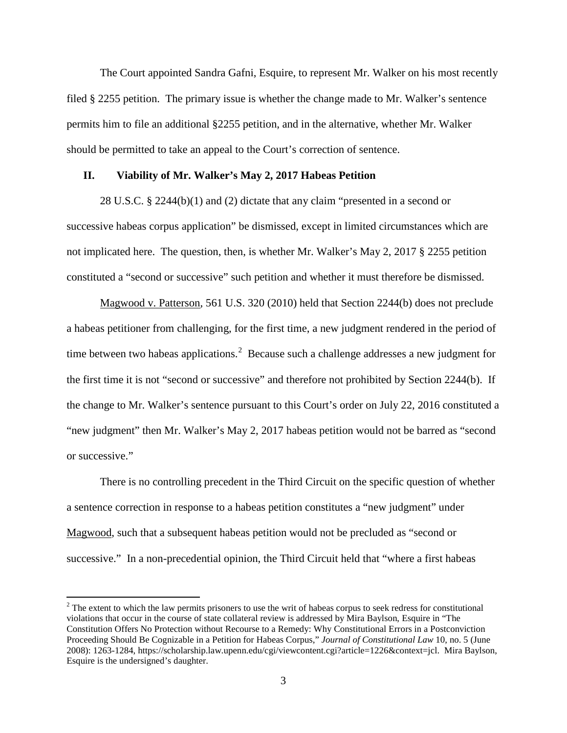The Court appointed Sandra Gafni, Esquire, to represent Mr. Walker on his most recently filed § 2255 petition. The primary issue is whether the change made to Mr. Walker's sentence permits him to file an additional §2255 petition, and in the alternative, whether Mr. Walker should be permitted to take an appeal to the Court's correction of sentence.

### **II. Viability of Mr. Walker's May 2, 2017 Habeas Petition**

28 U.S.C. § 2244(b)(1) and (2) dictate that any claim "presented in a second or successive habeas corpus application" be dismissed, except in limited circumstances which are not implicated here. The question, then, is whether Mr. Walker's May 2, 2017 § 2255 petition constituted a "second or successive" such petition and whether it must therefore be dismissed.

Magwood v. Patterson, 561 U.S. 320 (2010) held that Section 2244(b) does not preclude a habeas petitioner from challenging, for the first time, a new judgment rendered in the period of time between two habeas applications.<sup>[2](#page-2-0)</sup> Because such a challenge addresses a new judgment for the first time it is not "second or successive" and therefore not prohibited by Section 2244(b). If the change to Mr. Walker's sentence pursuant to this Court's order on July 22, 2016 constituted a "new judgment" then Mr. Walker's May 2, 2017 habeas petition would not be barred as "second or successive."

There is no controlling precedent in the Third Circuit on the specific question of whether a sentence correction in response to a habeas petition constitutes a "new judgment" under Magwood, such that a subsequent habeas petition would not be precluded as "second or successive." In a non-precedential opinion, the Third Circuit held that "where a first habeas

<span id="page-2-0"></span><sup>&</sup>lt;sup>2</sup> The extent to which the law permits prisoners to use the writ of habeas corpus to seek redress for constitutional violations that occur in the course of state collateral review is addressed by Mira Baylson, Esquire in "The Constitution Offers No Protection without Recourse to a Remedy: Why Constitutional Errors in a Postconviction Proceeding Should Be Cognizable in a Petition for Habeas Corpus," *Journal of Constitutional Law* 10, no. 5 (June 2008): 1263-1284, https://scholarship.law.upenn.edu/cgi/viewcontent.cgi?article=1226&context=jcl. Mira Baylson, Esquire is the undersigned's daughter.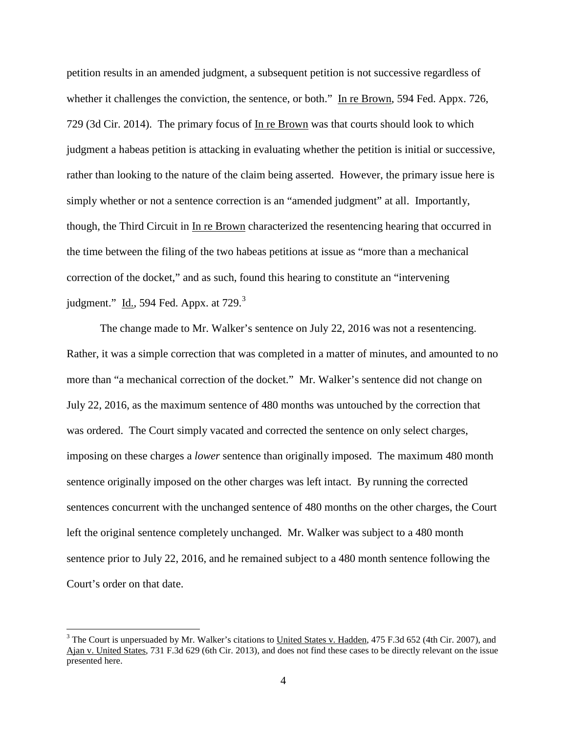petition results in an amended judgment, a subsequent petition is not successive regardless of whether it challenges the conviction, the sentence, or both." In re Brown, 594 Fed. Appx. 726, 729 (3d Cir. 2014). The primary focus of In re Brown was that courts should look to which judgment a habeas petition is attacking in evaluating whether the petition is initial or successive, rather than looking to the nature of the claim being asserted. However, the primary issue here is simply whether or not a sentence correction is an "amended judgment" at all. Importantly, though, the Third Circuit in In re Brown characterized the resentencing hearing that occurred in the time between the filing of the two habeas petitions at issue as "more than a mechanical correction of the docket," and as such, found this hearing to constitute an "intervening judgment."  $\underline{Id}$ ., 594 Fed. Appx. at 729. $3$ 

The change made to Mr. Walker's sentence on July 22, 2016 was not a resentencing. Rather, it was a simple correction that was completed in a matter of minutes, and amounted to no more than "a mechanical correction of the docket." Mr. Walker's sentence did not change on July 22, 2016, as the maximum sentence of 480 months was untouched by the correction that was ordered. The Court simply vacated and corrected the sentence on only select charges, imposing on these charges a *lower* sentence than originally imposed. The maximum 480 month sentence originally imposed on the other charges was left intact. By running the corrected sentences concurrent with the unchanged sentence of 480 months on the other charges, the Court left the original sentence completely unchanged. Mr. Walker was subject to a 480 month sentence prior to July 22, 2016, and he remained subject to a 480 month sentence following the Court's order on that date.

<span id="page-3-0"></span> $3$  The Court is unpersuaded by Mr. Walker's citations to United States v. Hadden, 475 F.3d 652 (4th Cir. 2007), and Ajan v. United States, 731 F.3d 629 (6th Cir. 2013), and does not find these cases to be directly relevant on the issue presented here.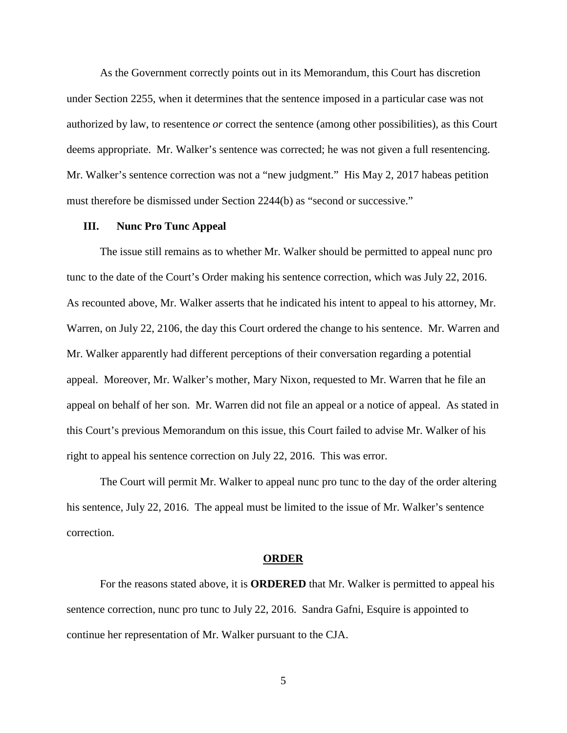As the Government correctly points out in its Memorandum, this Court has discretion under Section 2255, when it determines that the sentence imposed in a particular case was not authorized by law, to resentence *or* correct the sentence (among other possibilities), as this Court deems appropriate. Mr. Walker's sentence was corrected; he was not given a full resentencing. Mr. Walker's sentence correction was not a "new judgment." His May 2, 2017 habeas petition must therefore be dismissed under Section 2244(b) as "second or successive."

#### **III. Nunc Pro Tunc Appeal**

The issue still remains as to whether Mr. Walker should be permitted to appeal nunc pro tunc to the date of the Court's Order making his sentence correction, which was July 22, 2016. As recounted above, Mr. Walker asserts that he indicated his intent to appeal to his attorney, Mr. Warren, on July 22, 2106, the day this Court ordered the change to his sentence. Mr. Warren and Mr. Walker apparently had different perceptions of their conversation regarding a potential appeal. Moreover, Mr. Walker's mother, Mary Nixon, requested to Mr. Warren that he file an appeal on behalf of her son. Mr. Warren did not file an appeal or a notice of appeal. As stated in this Court's previous Memorandum on this issue, this Court failed to advise Mr. Walker of his right to appeal his sentence correction on July 22, 2016. This was error.

The Court will permit Mr. Walker to appeal nunc pro tunc to the day of the order altering his sentence, July 22, 2016. The appeal must be limited to the issue of Mr. Walker's sentence correction.

#### **ORDER**

For the reasons stated above, it is **ORDERED** that Mr. Walker is permitted to appeal his sentence correction, nunc pro tunc to July 22, 2016. Sandra Gafni, Esquire is appointed to continue her representation of Mr. Walker pursuant to the CJA.

5